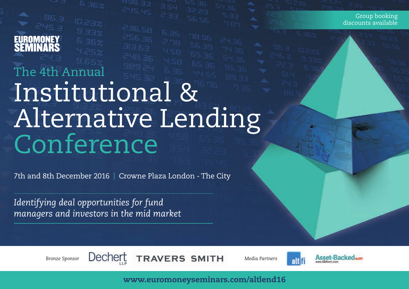# The 4th Annual Institutional & Alternative Lending Conference

 $rac{5.59}{10.76}$ 

7th and 8th December 2016 | Crowne Plaza London - The City

*Identifying deal opportunities for fund managers and investors in the mid market*

 $245.3$ 

EUROMONEY<br>SEMINARS



*Bronze Sponsor Media Partners*

alti



Group booking discounts available

www.euromoneyseminars.com/altlend16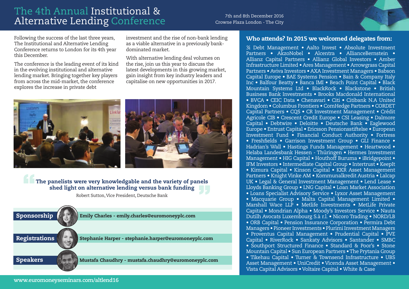### The 4th Annual Institutional & The Territrician instructional  $\alpha$  and 8th December 2016<br>Alternative Lending Conference Crowne Plaza London - The City

Crowne Plaza London - The City

Following the success of the last three years, The Institutional and Alternative Lending Conference returns to London for its 4th year this December.

The conference is the leading event of its kind in the evolving institutional and alternative lending market. Bringing together key players from across the mid-market, the conference explores the increase in private debt

investment and the rise of non-bank lending as a viable alternative in a previously bankdominated market.

With alternative lending deal volumes on the rise, join us this year to discuss the latest developments in this growing market, gain insight from key industry leaders and capitalise on new opportunities in 2017.



### The panelists were very knowledgable and the variety of panels shed light on alternative lending versus bank funding

Robert Sutton, Vice President, Deutsche Bank



### Who attends? In 2015 we welcomed delegates from:

3i Debt Management • Aalto Invest • Absolute Investment Partners • AkzoNobel • Alcentra • AllianceBernstein • Allianz Capital Partners • Allianz Global Investors • Amber Infrastructure Limited • Ares Management • Arrowgrass Capital Partners • Aviva Investors • AXA Investment Managers • Babson Capital Europe • BAE Systems Pension • Bain & Company Italy Inc • Balfour Beatty • Banca IMI • Beach Point Capital • Black Mountain Systems Ltd • BlackRock • Blackstone • British Business Bank Investments • Brooks Macdonald International • BVCA • CEIC Data • Chenavari • Citi • Citibank N.A United Kingdom • Columbus Frontiers • ComHedge Partners • CORDET Capital Partners • CQS • CR Investment Management • Crédit Agricole CIB • Crescent Credit Europe • CSI Leasing • Dalmore Capital • Debtwire • Deloitte • Deutsche Bank • Eaglewood Europe • Entrust Capital • Ericsson Pensionsstiftelse • European Investment Fund • Financial Conduct Authority • Fortress • Freshfields • Garrison Investment Group • GLI Finance • Hadrian's Wall • Hastings Funds Management • Heartwood • Helaba Landesbank Hessen - Thüringen • Hermes Investment Management • HIG Capital • Houthoff Buruma • iBridgepoint • IFM Investors • Intermediate Capital Group • Intertrust • KeepIt • Kimura Capital • Kinson Capital • KKR Asset Management Partners • Knight Vinke AM • Kommunalkredit Austria • Lalcap UK • Legal & General Investment Management • Lend Lease • Lloyds Banking Group • LNG Capital • Loan Market Association • Loans Specialist Advisory Service • Lyxor Asset Management • Macquarie Group • Malta Capital Management Limited • Marshall Wace LLP • Metlife Investments • MetLife Private Capital • Mondrian Alpha • Moody's Investors Service • Nauta Dutilh Avocats Luxembourg S.à r.l. • Nicoro Trading • NORD/LB • ORB Capital • Pension Insurance Corporation • Permira Debt Managers • Pioneer Investments • Plurimi Investment Managers • Proventus Capital Management • Prudential Capital • PVE Capital • RiverRock • Sankaty Advisors • Santander • SMBC • Southport Structured Finance • Standard & Poor's • Stone Mountain Capital • Sun European Partners • The Prytania Group • Tikehau Capital • Turner & Townsend Infrastructure • UBS Asset Management • UniCredit • Vicenda Asset Management • Vista Capital Advisors • Voltaire Capital • White & Case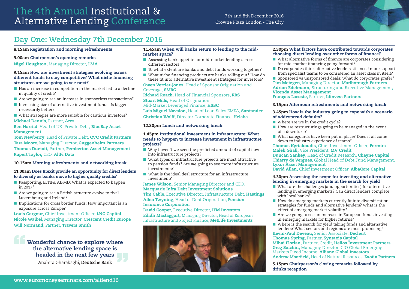### The 4th Annual Institutional & The Territrical district conference The City of the and 8th December 2016<br>Alternative Lending Conference Crowne Plaza London - The City

Crowne Plaza London - The City

### **Day One: Wednesday 7th December 2016**

### 8.15am Registration and morning refreshments

#### 9.00am Chairperson's opening remarks

Nigel Houghton, Managing Director, LMA

#### 9.15am How are investment strategies evolving across different funds to stay competitive? What niche financing structures are we going to see next?

- $\blacksquare$  Has an increase in competition in the market led to a decline in quality of credit?
- $\blacksquare$  Are we going to see an increase in sponsorless transactions?
- $\blacksquare$  Increasing size of alternative investment funds: Is bigger necessarily better?
- $\blacksquare$  What strategies are more suitable for cautious investors?

#### Michael Dennis, Partner, Ares

#### Ben Harrild, Head of UK, Private Debt, BlueBay Asset Management

Tom Newberry, Head of Private Debt, CVC Credit Partners Tara Moore, Managing Director, Guggenheim Partners Thomas Duetoft, Partner, Pemberton Asset Management Rupert Taylor, CEO, AltFi Data

### 10.15am Morning refreshments and networking break

### 11.00am Does Brexit provide an opportunity for direct lenders to diversify as banks move to higher quality credits?

- Passporting, ELTIFs, AIFMD: What is expected to happen in 2017?
- $\blacksquare$  Are we going to see a British structure evolve to rival Luxembourg and Ireland?
- $\blacksquare$  Implications for cross border funds: How important is an exposure across Europe?

Louis Gargour, Chief Investment Officer, LNG Capital Nicole Waibel, Managing Director, Crescent Credit Europe Will Normand, Partner, Travers Smith

### Wonderful chance to explore where the alternative lending space is headed in the next few years

Anahita Gharabaghi, **Deutsche Bank**

#### 11.45am When will banks return to lending to the midmarket space?

- Assessing bank appetite for mid-market lending across different sectors
- $\blacksquare$  To what extent are banks and debt funds working together?
- $\blacksquare$  What niche financing products are banks rolling out? How do these fit into alternative investment strategies for investors?

#### Owen Verrier-Jones, Head of Sponsor Origination and Coverage, SMBC

Richard Roach, Head of Financial Sponsors, RBS **Stuart Mills, Head of Origination,** Mid-Market Leveraged Finance, HSBC Luis Miguel Navalon, Head of Loan Sales EMEA, Santander Christian Wolff, Director Corporate Finance, Helaba

### 12.30pm Lunch and networking break

#### 1.45pm Institutional investment in infrastructure: What needs to happen to increase investment in infrastructure projects?

- $\blacksquare$  Why haven't we seen the predicted amount of capital flow into infrastructure projects?
- $\blacksquare$  What types of infrastructure projects are most attractive to pension funds? Are we going to see more infrastructure investments?
- $\blacksquare$  What is the ideal deal structure for an infrastructure investment?

#### James Wilson, Senior Managing Director and CEO, Macquarie Infra Debt Investment Solutions

Tim Cable, Executive Director, Infrastructure Debt, Hastings Allen Twyning, Head of Debt Origination, Pension Insurance Corporation

#### David Cooper, Executive Director, IFM Investors

Eilidh Mactaggart, Managing Director, Head of European Infrastructure and Project Finance, MetLife Investments



### 2.30pm What factors have contributed towards corporates choosing direct lending over other forms of finance?

- $\blacksquare$  What alternative forms of finance are corporates considering for mid-market financing going forward?
- $\blacksquare$  Do corporates think alternative lenders still need more support from specialist teams to be considered an asset class in itself?
- Sponsored vs unsponsored deals: What do corporates prefer? Tim Metzgen, Managing Director, Marlborough Partners Adrian Edelmann, Structuring and Executive Management, Vicenda Asset Management

François Lacoste, Partner, Idinvest Partners

### 3.15pm Afternoon refreshments and networking break

#### 3.45pm How is the industry going to cope with a scenario of widespread defaults?

- $\blacksquare$  Where are we in the credit cycle?
- $\blacksquare$  How are restructurings going to be managed in the event of a downturn?
- $\blacksquare$  What safeguards have been put in place? Does it all come down to industry experience of teams?

Thomas Kyriakoudis, Chief Investment Officer, Permira Malek Ghali, Vice President, MV Credit

Duncan Sankey, Head of Credit Research, Cheyne Capital Thierry de Vergnes, Global Head of Debt Fund Management, Lyxor Asset Management

David Allen, Chief Investment Officer, AlbaCore Capital

### 4.30pm Assessing the scope for investing and alternative lending in emerging markets in the search for yield

- $\blacksquare$  What are the challenges (and opportunities) for alternative lending in emerging markets? Can direct lenders complete with local banks?
- $\blacksquare$  How do emerging markets currently fit into diversification strategies for funds and alternative lenders? What is the effect of emerging market volatility?
- $\blacksquare$  Are we going to see an increase in European funds investing in emerging markets for higher returns?
- $\blacksquare$  Where is the search for yield taking funds and alternative lenders? What sectors and regions are most promising?

Kevin-Paul Deveau, Senior Associate, Dechert Thomas Spring, Partner, Syntaxis Capital

Mihai Florian, Partner, Credit, Helios Investment Partners **Greg Saichin,** Managing Director, CIO Global Emerging Markets Fixed Income, **Allianz Global Investors** Andrew Moorfield, Head of Natural Resources, Exotix Partners

5.15pm Chairperson's closing remarks followed by drinks reception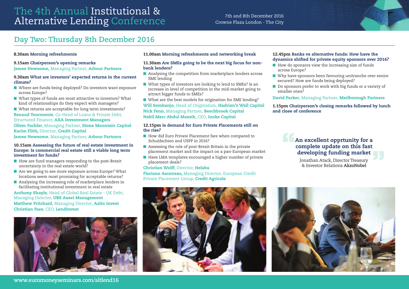### The 4th Annual Institutional & The Territrician instructional  $\alpha$  and 8th December 2016<br>Alternative Lending Conference Crowne Plaza London - The City

### Crowne Plaza London - The City

### **Day Two: Thursday 8th December 2016**

### 8.30am Morning refreshments

#### 9.15am Chairperson's opening remarks

James Newsome, Managing Partner, Arbour Partners

#### 9.30am What are investors' expected returns in the current climate?

- $\blacksquare$  Where are funds being deployed? Do investors want exposure across Europe?
- $\blacksquare$  What types of funds are most attractive to investors? What kind of relationships do they expect with managers?
- $\blacksquare$  What returns are acceptable for long term investments? Renaud Tourmente, Co-Head of Loans & Private Debt, Structured Finance, AXA Investment Managers Oliver Fochler, Managing Partner, Stone Mountain Capital Karim Flitti, Director, Credit Capital James Newsome, Managing Partner, Arbour Partners

#### 10.15am Assessing the future of real estate investment in Europe: Is commercial real estate still a viable long term investment for funds?

- $\blacksquare$  How are fund managers responding to the post-Brexit uncertainty in the real estate world?
- $\blacksquare$  Are we going to see more exposure across Europe? What locations seem most promising for acceptable returns?
- $\blacksquare$  Analysing the increasing role of marketplace lenders in facilitating institutional investment in real estate

Anthony Shayle, Head of Global Real Estate - UK Debt, Managing Director, UBS Asset Management Matthew Pritchard, Managing Director, Aalto Invest Christian Faes, CEO, LendInvest



### 11.00am Morning refreshments and networking break

#### 11.30am Are SMEs going to be the next big focus for nonbank lenders?

- $\blacksquare$  Analysing the competition from marketplace lenders across SME lending
- What types of investors are looking to lend to SMEs? Is an increase in level of competition in the mid-market going to attract bigger funds to SMEs?
- $\blacksquare$  What are the best models for origination for SME lending? Will Sembanjo, Head of Origination, Hadrian's Wall Capital Nick Fenn, Managing Partner, Beechbrook Capital Nabil Marc Abdul Massih, CEO, Inoks Capital

### 12.15pm Is demand for Euro Private Placements still on the rise?

- $\blacksquare$  How did Euro Private Placement fare when compared to Schuldschien and USPP in 2016?
- Assessing the role of post-Brexit Britain in the private placement market and the impact on a pan-European market
- $\blacksquare$  Have LMA templates encouraged a higher number of private placement deals?

### Christian Wolff, Director, Helaba

Floriano Ascensao, Managing Director, European Credit Private Placement Group, Credit Agricole

### 12.45pm Banks vs alternative funds: How have the dynamics shifted for private equity sponsors over 2016?

- $\blacksquare$  How do sponsors view the increasing size of funds across Europe?
- $\blacksquare$  Why have sponsors been favouring unitranche over senior secured? How are funds being deployed?
- $\blacksquare$  Do sponsors prefer to work with big funds or a variety of smaller ones?

### David Parker, Managing Partner, Marlborough Partners

1.15pm Chairperson's closing remarks followed by lunch and close of conference

### **An excellent opprtunity for a** complete update on this fast developing funding market

Jonathan Atack, Director Treasury & Investor Relations **AkzoNobel**



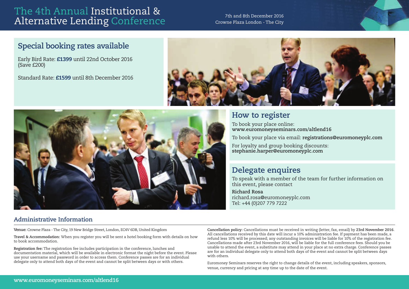### The 4th Annual Institutional & The Territrician insertational  $\alpha$  and 8th December 2016<br>Alternative Lending Conference Crowne Plaza London - The City

Crowne Plaza London - The City

### **Special booking rates available**

Early Bird Rate: £1399 until 22nd October 2016 (Save £200)

Standard Rate: £1599 until 8th December 2016





### **How to register**

To book your place online: **www.euromoneyseminars.com/altlend16** 

To book your place via email: **registrations@euromoneyplc.com**

For loyalty and group booking discounts: **stephanie.harper@euromoneyplc.com**

### **Delegate enquires**

To speak with a member of the team for further information on this event, please contact

**Richard Rosa** richard.rosa@euromoneyplc.com Tel: +44 (0)207 779 7222

### **Administrative Information**

**Venue:** Crowne Plaza - The City, 19 New Bridge Street, London, EC4V 6DB, United Kingdom

**Travel & Accommodation:** When you register you will be sent a hotel booking form with details on how to book accommodation.

**Registration fee:** The registration fee includes participation in the conference, lunches and documentation material, which will be available in electronic format the night before the event. Please use your username and password in order to access them. Conference passes are for an individual delegate only to attend both days of the event and cannot be split between days or with others.

**Cancellation policy:** Cancellations must be received in writing (letter, fax, email) by **23rd November 2016**. All cancellations received by this date will incur a 10% administration fee. If payment has been made, a refund less 10% will be processed; any outstanding invoices will be liable for 10% of the registration fee. Cancellations made after 23rd November 2016, will be liable for the full conference fees. Should you be unable to attend the event, a substitute may attend in your place at no extra charge. Conference passes are for an individual delegate only to attend both days of the event and cannot be split between days with others.

Euromoney Seminars reserves the right to change details of the event, including speakers, sponsors, venue, currency and pricing at any time up to the date of the event.